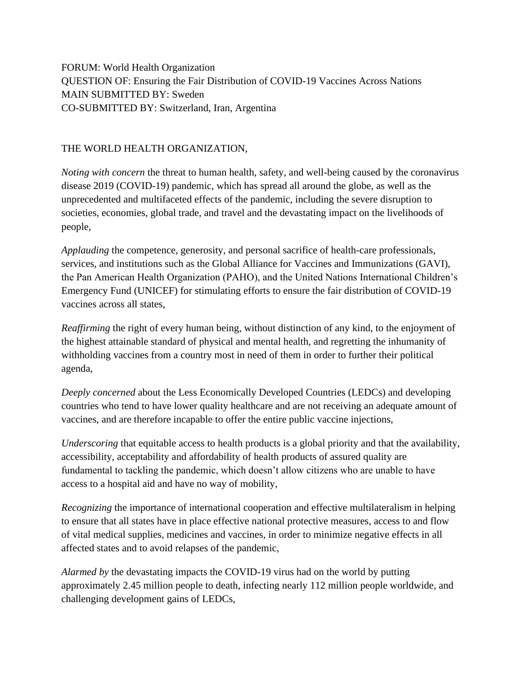FORUM: World Health Organization QUESTION OF: Ensuring the Fair Distribution of COVID-19 Vaccines Across Nations MAIN SUBMITTED BY: Sweden CO-SUBMITTED BY: Switzerland, Iran, Argentina

## THE WORLD HEALTH ORGANIZATION,

*Noting with concern* the threat to human health, safety, and well-being caused by the coronavirus disease 2019 (COVID-19) pandemic, which has spread all around the globe, as well as the unprecedented and multifaceted effects of the pandemic, including the severe disruption to societies, economies, global trade, and travel and the devastating impact on the livelihoods of people,

*Applauding* the competence, generosity, and personal sacrifice of health-care professionals, services, and institutions such as the Global Alliance for Vaccines and Immunizations (GAVI), the Pan American Health Organization (PAHO), and the United Nations International Children's Emergency Fund (UNICEF) for stimulating efforts to ensure the fair distribution of COVID-19 vaccines across all states,

*Reaffirming* the right of every human being, without distinction of any kind, to the enjoyment of the highest attainable standard of physical and mental health, and regretting the inhumanity of withholding vaccines from a country most in need of them in order to further their political agenda,

*Deeply concerned* about the Less Economically Developed Countries (LEDCs) and developing countries who tend to have lower quality healthcare and are not receiving an adequate amount of vaccines, and are therefore incapable to offer the entire public vaccine injections,

*Underscoring* that equitable access to health products is a global priority and that the availability, accessibility, acceptability and affordability of health products of assured quality are fundamental to tackling the pandemic, which doesn't allow citizens who are unable to have access to a hospital aid and have no way of mobility,

*Recognizing* the importance of international cooperation and effective multilateralism in helping to ensure that all states have in place effective national protective measures, access to and flow of vital medical supplies, medicines and vaccines, in order to minimize negative effects in all affected states and to avoid relapses of the pandemic,

*Alarmed by* the devastating impacts the COVID-19 virus had on the world by putting approximately 2.45 million people to death, infecting nearly 112 million people worldwide, and challenging development gains of LEDCs,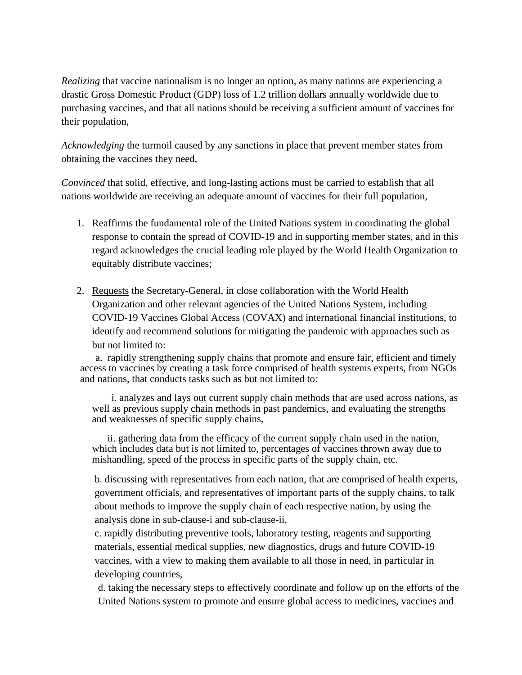*Realizing* that vaccine nationalism is no longer an option, as many nations are experiencing a drastic Gross Domestic Product (GDP) loss of 1.2 trillion dollars annually worldwide due to purchasing vaccines, and that all nations should be receiving a sufficient amount of vaccines for their population,

*Acknowledging* the turmoil caused by any sanctions in place that prevent member states from obtaining the vaccines they need,

*Convinced* that solid, effective, and long-lasting actions must be carried to establish that all nations worldwide are receiving an adequate amount of vaccines for their full population,

- 1. Reaffirms the fundamental role of the United Nations system in coordinating the global response to contain the spread of COVID-19 and in supporting member states, and in this regard acknowledges the crucial leading role played by the World Health Organization to equitably distribute vaccines;
- 2. Requests the Secretary-General, in close collaboration with the World Health Organization and other relevant agencies of the United Nations System, including COVID-19 Vaccines Global Access (COVAX) and international financial institutions, to identify and recommend solutions for mitigating the pandemic with approaches such as but not limited to:

a. rapidly strengthening supply chains that promote and ensure fair, efficient and timely access to vaccines by creating a task force comprised of health systems experts, from NGOs and nations, that conducts tasks such as but not limited to:

i. analyzes and lays out current supply chain methods that are used across nations, as well as previous supply chain methods in past pandemics, and evaluating the strengths and weaknesses of specific supply chains,

ii. gathering data from the efficacy of the current supply chain used in the nation, which includes data but is not limited to, percentages of vaccines thrown away due to mishandling, speed of the process in specific parts of the supply chain, etc.

b. discussing with representatives from each nation, that are comprised of health experts, government officials, and representatives of important parts of the supply chains, to talk about methods to improve the supply chain of each respective nation, by using the analysis done in sub-clause-i and sub-clause-ii,

c. rapidly distributing preventive tools, laboratory testing, reagents and supporting materials, essential medical supplies, new diagnostics, drugs and future COVID-19 vaccines, with a view to making them available to all those in need, in particular in developing countries,

d. taking the necessary steps to effectively coordinate and follow up on the efforts of the United Nations system to promote and ensure global access to medicines, vaccines and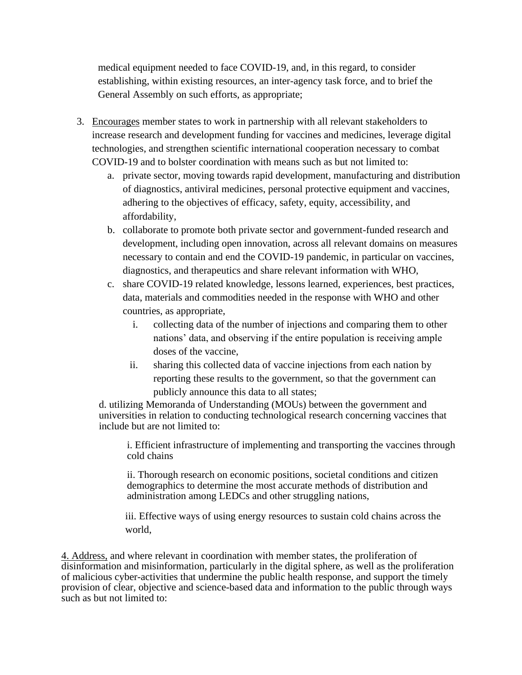medical equipment needed to face COVID-19, and, in this regard, to consider establishing, within existing resources, an inter-agency task force, and to brief the General Assembly on such efforts, as appropriate;

- 3. Encourages member states to work in partnership with all relevant stakeholders to increase research and development funding for vaccines and medicines, leverage digital technologies, and strengthen scientific international cooperation necessary to combat COVID-19 and to bolster coordination with means such as but not limited to:
	- a. private sector, moving towards rapid development, manufacturing and distribution of diagnostics, antiviral medicines, personal protective equipment and vaccines, adhering to the objectives of efficacy, safety, equity, accessibility, and affordability,
	- b. collaborate to promote both private sector and government-funded research and development, including open innovation, across all relevant domains on measures necessary to contain and end the COVID-19 pandemic, in particular on vaccines, diagnostics, and therapeutics and share relevant information with WHO,
	- c. share COVID-19 related knowledge, lessons learned, experiences, best practices, data, materials and commodities needed in the response with WHO and other countries, as appropriate,
		- i. collecting data of the number of injections and comparing them to other nations' data, and observing if the entire population is receiving ample doses of the vaccine,
		- ii. sharing this collected data of vaccine injections from each nation by reporting these results to the government, so that the government can publicly announce this data to all states;

d. utilizing Memoranda of Understanding (MOUs) between the government and universities in relation to conducting technological research concerning vaccines that include but are not limited to:

i. Efficient infrastructure of implementing and transporting the vaccines through cold chains

ii. Thorough research on economic positions, societal conditions and citizen demographics to determine the most accurate methods of distribution and administration among LEDCs and other struggling nations,

iii. Effective ways of using energy resources to sustain cold chains across the world,

4. Address, and where relevant in coordination with member states, the proliferation of disinformation and misinformation, particularly in the digital sphere, as well as the proliferation of malicious cyber-activities that undermine the public health response, and support the timely provision of clear, objective and science-based data and information to the public through ways such as but not limited to: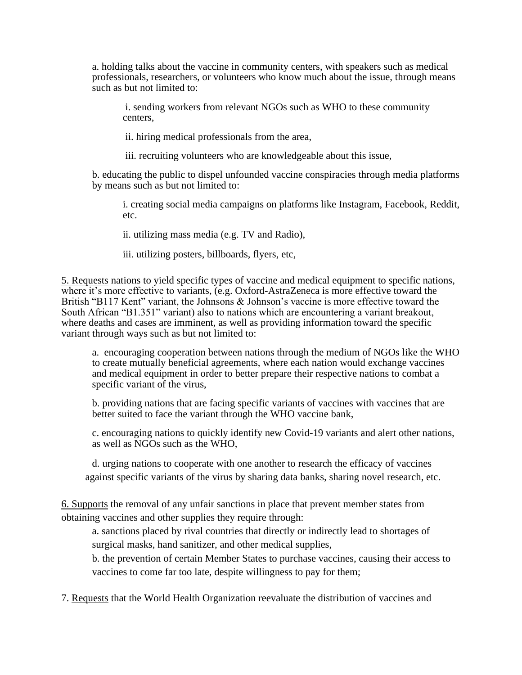a. holding talks about the vaccine in community centers, with speakers such as medical professionals, researchers, or volunteers who know much about the issue, through means such as but not limited to:

i. sending workers from relevant NGOs such as WHO to these community centers,

ii. hiring medical professionals from the area,

iii. recruiting volunteers who are knowledgeable about this issue,

b. educating the public to dispel unfounded vaccine conspiracies through media platforms by means such as but not limited to:

i. creating social media campaigns on platforms like Instagram, Facebook, Reddit, etc.

ii. utilizing mass media (e.g. TV and Radio),

iii. utilizing posters, billboards, flyers, etc,

5. Requests nations to yield specific types of vaccine and medical equipment to specific nations, where it's more effective to variants, (e.g. Oxford-AstraZeneca is more effective toward the British "B117 Kent" variant, the Johnsons & Johnson's vaccine is more effective toward the South African "B1.351" variant) also to nations which are encountering a variant breakout, where deaths and cases are imminent, as well as providing information toward the specific variant through ways such as but not limited to:

a. encouraging cooperation between nations through the medium of NGOs like the WHO to create mutually beneficial agreements, where each nation would exchange vaccines and medical equipment in order to better prepare their respective nations to combat a specific variant of the virus,

b. providing nations that are facing specific variants of vaccines with vaccines that are better suited to face the variant through the WHO vaccine bank,

c. encouraging nations to quickly identify new Covid-19 variants and alert other nations, as well as NGOs such as the WHO,

d. urging nations to cooperate with one another to research the efficacy of vaccines against specific variants of the virus by sharing data banks, sharing novel research, etc.

6. Supports the removal of any unfair sanctions in place that prevent member states from obtaining vaccines and other supplies they require through:

a. sanctions placed by rival countries that directly or indirectly lead to shortages of surgical masks, hand sanitizer, and other medical supplies,

b. the prevention of certain Member States to purchase vaccines, causing their access to vaccines to come far too late, despite willingness to pay for them;

7. Requests that the World Health Organization reevaluate the distribution of vaccines and